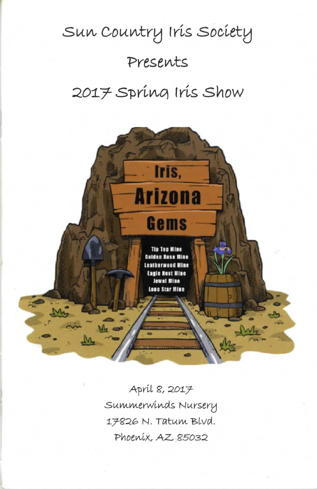# $Sun$  Country Iris Society  $P$ resents  $2017$  Spring Iris Show



A-prtL g, *201]-* Summerwinds Nursery 17826 N. Tatum Blvd. Phoenix, AZ *85032*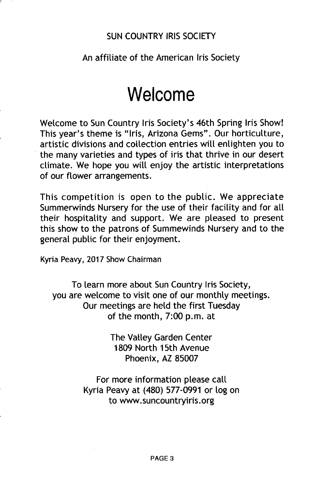#### SUN COUNTRY IRIS SOCIETY

# An affiliate of the American Iris Society

# **Welcome**

Welcome to Sun Country Iris Society's 46th Spring Iris Show! This year's theme is "Iris, Arizona Gems". Our horticulture, artistic divisions and collection entries will enlighten you to the many varieties and types of iris that thrive in our desert climate. We hope you will enjoy the artistic interpretations of our flower arrangements.

This competition is open to the public. We appreciate Summerwinds Nursery for the use of their facility and for all their hospitality and support. We are pleased to present this show to the patrons of Summewinds Nursery and to the general public for their enjoyment.

Kyria Peavy, 2017 Show Chairman

To learn more about Sun Country Iris Society, you are welcome to visit one of our monthly meetings. Our meetings are held the first Tuesday of the month, 7:00 p.m. at

> The Valley Garden Center 1809 North 15th Avenue Phoenix, AZ 85007

For more information please call Kyria Peavy at (480) 577-0991 or log on to www.suncountryiris.org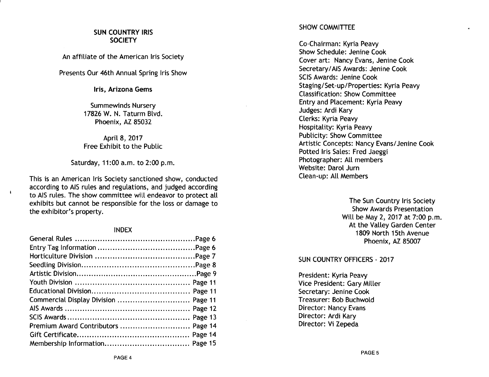## SUN COUNTRY IRIS **SOCIETY**

An affiliate of the American Iris Society

Presents Our 46th Annual Spring Iris Show

Iris, Arizona Gems

Summewinds Nursery 17826 W. N. Taturm Blvd. Phoenix, AZ 85032

April 8, 2017 Free Exhibit to the Public

Saturday, 11:00 a.m. to 2:00 p.m.

This is an American Iris Society sanctioned show, conducted according to AIS rules and regulations, and judged according to AIS rules. The show committee will endeavor to protect all exhibits but cannot be responsible for the loss or damage to the exhibitor's property.

 $\ddot{\phantom{a}}$ 

#### INDEX

| Commercial Display Division  Page 11 |  |
|--------------------------------------|--|
|                                      |  |
|                                      |  |
| Premium Award Contributors  Page 14  |  |
|                                      |  |
|                                      |  |

# SHOW COMMITTEE

Co-Chairman: Kyria Peavy Show Schedule: Jenine Cook Cover art: Nancy Evans, Jenine Cook Secretary/AIS Awards: Jenine Cook SCIS Awards: Jenine Cook Staging/Set-up/Properties: Kyria Peavy Classification: Show Committee Entry and Placement: Kyria Peavy Judges: Ardi Kary Clerks: Kyria Peavy Hospitality: Kyria Peavy Publicity: Show Committee Artistic Concepts: Nancy Evans/ Jenine Cook Potted Iris Sales: Fred Jaeggi Photographer: All members Website: Darol Jurn Clean-up: All Members

> The Sun Country Iris Society Show Awards Presentation Will be May 2, 2017 at 7:00 p.m. At the Valley Garden Center 1809 North 15th Avenue Phoenix, AZ 85007

# SUN COUNTRY OFFICERS - 2017

President: Kyria Peavy Vice President: Gary Miller Secretary: Jenine Cook Treasurer: Bob Buchwold Director: Nancy Evans Director: Ardi Kary Director: Vi Zepeda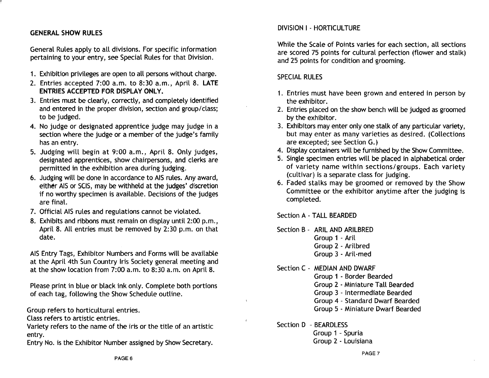# GENERAL SHOW RULES

General Rules apply to all divisions. For specific information pertaining to your entry, see Special Rules for that Division.

- 1. Exhibition privileges are open to all persons without charge.
- 2. Entries accepted 7:00 a.m. to 8:30 a.m., April 8. LATE ENTRIES ACCEPTED FOR DISPLAY ONLY.
- 3. Entries must be clearly, correctly, and completely identified and entered in the proper division, section and group/class; to be judged.
- 4. No judge or designated apprentice judge may judge in a section where the judge or a member of the judge's family has an entry.
- 5. Judging will begin at 9:00 a.m., April 8. Only judges, designated apprentices, show chairpersons, and clerks are permitted in the exhibition area during judging.
- 6. Judging will be done in accordance to AIS rules. Any award, either AIS or SCIS, may be withheld at the judges' discretion if no worthy specimen is available. Decisions of the judges are final.
- 7. Official AIS rules and regulations cannot be violated.
- 8. Exhibits and ribbons must remain on display until 2:00 p.m., April 8. All entries must be removed by 2:30 p.m. on that date.

AIS Entry Tags, Exhibitor Numbers and Forms will be available at the April 4th Sun Country Iris Society general meeting and at the show location from 7:00 a.m. to 8:30 a.m. on April 8.

Please print in blue or black ink only. Complete both portions of each tag, following the Show Schedule outline.

Group refers to horticultural entries.

Class refers to artistic entries.

Variety refers to the name of the iris or the title of an artistic entry.

Entry No. is the Exhibitor Number assigned by Show Secretary.

# DIVISION I - HORTICULTURE

While the Scale of Points varies for each section, all sections are scored 75 points for cultural perfection (flower and stalk) and 25 points for condition and grooming.

# SPECIAL RULES

- 1. Entries must have been grown and entered in person by the exhibitor.
- 2. Entries placed on the show bench will be judged as groomed by the exhibitor.
- 3. Exhibitors may enter only one stalk of any particular variety, but may enter as many varieties as desired. (Collections are excepted; see Section G.)
- 4. Display containers will be furnished by the Show Committee.
- 5. Single specimen entries will be placed in alphabetical order of variety name within sections/groups. Each variety (cultivar) is a separate class for judging.
- 6. Faded stalks may be groomed or removed by the Show Committee or the exhibitor anytime after the judging is completed.

Section A - TALL BEARDED

Section B - ARIL AND ARILBRED Group 1 - Aril Group 2 - Arilbred Group 3 - Aril-med

Section C - MEDIAN AND DWARF

Group 1 - Border Bearded Group 2 - Miniature Tall Bearded Group 3 - Intermediate Bearded Group 4 - Standard Dwarf Bearded Group 5 - Miniature Dwarf Bearded

Section D - BEARDLESS

 $\Delta$ 

Group 1 - Spuria Group 2 - Louisiana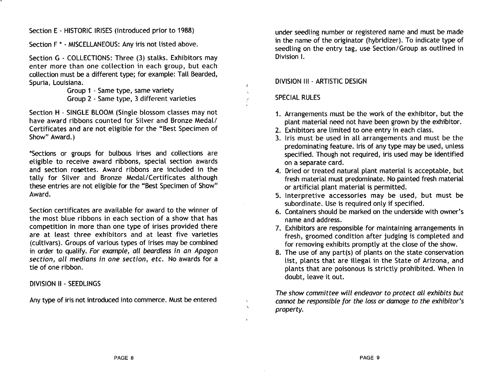Section E - HISTORIC IRISES (introduced prior to 1988)

Section F \* - MISCELLANEOUS: Any iris not listed above.

Section G - COLLECTIONS: Three (3) stalks. Exhibitors may enter more than one collection in each group, but each collection must be a different type; for example: Tall Bearded, Spuria, Louisiana.

> Group 1 - Same type, same variety Group 2 - Same type, 3 different varieties

Section H - SINGLE BLOOM (Single blossom classes may not have award ribbons counted for Silver and Bronze Medal/ Certificates and are not eligible for the "Best Specimen of Show" Award.)

\*Sections or groups for bulbous irises and collections are eligible to receive award ribbons, special section awards and section rosettes. Award ribbons are included in the tally for Silver and Bronze Medal/Certificates although these entries are not eligible for the "Best Specimen of Show" Award.

Section certificates are available for award to the winner of the most blue ribbons in each section of a show that has competition in more than one type of irises provided there are at least three exhibitors and at least five varieties (cultivars). Groups of various types of irises may be combined in order to qualify. For example, all beardless in an Apagon section, all medians in one section, etc. No awards for a tie of one ribbon.

DIVISION II - SEEDLINGS

Any type of iris not introduced into commerce. Must be entered

under seedling number or registered name and must be made in the name of the originator (hybridizer). To indicate type of seedling on the entry tag, use Section/Group as outlined in Division I.

# DIVISION **III** - ARTISTIC DESIGN

# SPECIAL RULES

 $\hat{a}$ 

- 1. Arrangements must be the work of the exhibitor, but the plant material need not have been grown by the exhibitor.
- 2. Exhibitors are limited to one entry in each class.
- 3. Iris must be used in all arrangements and must be the predominating feature. Iris of any type may be used, unless specified. Though not required, iris used may be identified on a separate card.
- 4. Dried or treated natural plant material is acceptable, but fresh material must predominate. No painted fresh material or artificial plant material is permitted.
- 5. Interpretive accessories may be used, but must be subordinate. Use is required only if specified.
- 6. Containers should be marked on the underside with owner's name and address.
- 7. Exhibitors are responsible for maintaining arrangements in fresh, groomed condition after judging is completed and for removing exhibits promptly at the close of the show.
- 8. The use of any part(s) of plants on the state conservation list, plants that are illegal in the State of Arizona, and plants that are poisonous is strictly prohibited. When in doubt, leave it out.

The show committee will endeavor to protect all exhibits but cannot be responsible for the loss or damage to the exhibitor's property.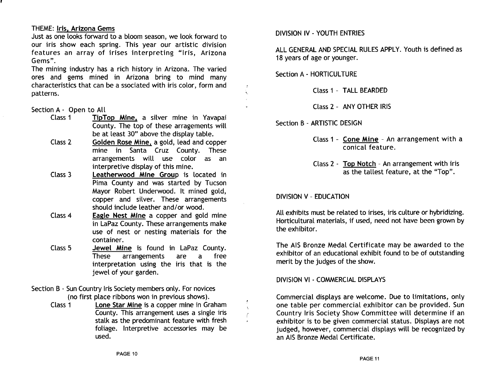## THEME: Iris, Arizona Gems

Just as one looks forward to a bloom season, we look forward to our iris show each spring. This year our artistic division features an array of irises interpreting "Iris, Arizona Gems".

The mining industry has a rich history in Arizona. The varied ores and gems mined in Arizona bring to mind many characteristics that can be a ssociated with iris color, form and patterns.

## Section A - Open to All

- Class 1 TipTop Mine, a silver mine in Yavapai County. The top of these arragements will be at least 30" above the display table.
- Class 2 Golden Rose Mine, a gold, lead and copper mine in Santa Cruz County. These arrangements will use color as an interpretive display of this mine.
- Class 3 Leatherwood Mine Group is located in Pima County and was started by Tucson Mayor Robert Underwood. It mined gold, copper and silver. These arrangements should include leather and/or wood.
- Class 4 Eagle Nest Mine a copper and gold mine in LaPaz County. These arrangements make use of nest or nesting materials for the container.
- Class 5 Jewel Mine is found in LaPaz County. These arrangements are a free interpretation using the iris that is the jewel of your garden.
- Section B Sun Country Iris Society members only. For novices (no first place ribbons won in previous shows).
	- Class 1 Lone Star Mine is a copper mine in Graham County. This arrangement uses a single iris stalk as the predominant feature with fresh foliage. Interpretive accessories may be used.

# DIVISION IV - YOUTH ENTRIES

ALL GENERAL AND SPECIAL RULES APPLY. Youth is defined as 18 years of age or younger.

Section A - HORTICULTURE

 $\mathbf{A}$ 

 $\mathbf{r}$ 

Class 1 - TALL BEARDED

Class 2 - ANY OTHER IRIS

Section B - ARTISTIC DESIGN

- Class 1 Cone Mine An arrangement with a conical feature.
- Class 2 Top Notch An arrangement with iris as the tallest feature, at the "Top".

# DIVISION V - EDUCATION

All exhibits must be related to irises, iris culture or hybridizing. Horticultural materials, if used, need not have been grown by the exhibitor.

The AIS Bronze Medal Certificate may be awarded to the exhibitor of an educational exhibit found to be of outstanding merit by the judges of the show.

DIVISION VI - COMMERCIAL DISPLAYS

Commercial displays are welcome. Due to limitations, only one table per commercial exhibitor can be provided. Sun Country Iris Society Show Committee will determine if an exhibitor is to be given commercial status. Displays are not judged, however, commercial displays will be recognized by an AIS Bronze Medal Certificate.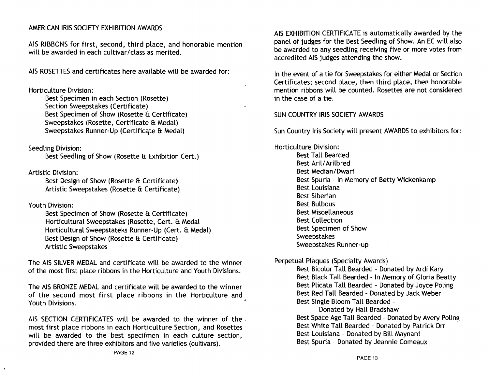# AMERICAN IRIS SOCIETY EXHIBITION AWARDS

AIS RIBBONS for first, second, third place, and honorable mention will be awarded in each cultivar/class as merited.

AIS ROSETTES and certificates here available will be awarded for:

Horticulture Division:

Best Specimen in each Section (Rosette) Section Sweepstakes (Certificate) Best Specimen of Show (Rosette & Certificate) Sweepstakes (Rosette, Certificate & Medal) Sweepstakes Runner-Up (Certificate & Medal)

Seedling Division:

Best Seedling of Show (Rosette & Exhibition Cert.)

Artistic Division:

Best Design of Show (Rosette &: Certificate) Artistic Sweepstakes (Rosette &: Certificate)

Youth Division:

Best Specimen of Show (Rosette & Certificate) Horticultural Sweepstakes (Rosette, Cert. &: Medal Horticultural Sweepstateks Runner-Up (Cert. &: Medal) Best Design of Show (Rosette &: Certificate) Artistic Sweepstakes

The AIS SILVER MEDAL and certificate will be awarded to the winner of the most first place ribbons in the Horticulture and Youth Divisions.

The AIS BRONZE MEDAL and certificate will be awarded to the winner of the second most first place ribbons in the Horticulture and Youth Divisions.

AIS SECTION CERTIFICATES will be awarded to the winner of the. most first place ribbons in each Horticulture Section, and Rosettes will be awarded to the best specifmen in each culture section, provided there are three exhibitors and five varieties (cultivars).

AIS EXHIBITION CERTIFICATE is automatically awarded by the panel of judges for the Best Seedling of Show. An EC will also be awarded to any seedling receiving five or more votes from accredited AIS judges attending the show.

In the event of a tie for Sweepstakes for either Medal or Section Certificates; second place, then third place, then honorable mention ribbons will be counted. Rosettes are not considered in the case of a tie.

SUN COUNTRY IRIS SOCIETY AWARDS

Sun Country Iris Society will present AWARDS to exhibitors for:

Horticulture Division: Best Tall Bearded Best Aril/Arilbred Best Median / Dwarf Best Spuria - In Memory of Betty Wickenkamp Best Louisiana Best Siberian Best Bulbous Best Miscellaneous Best Collection Best Specimen of Show Sweepstakes Sweepstakes Runner-up

Perpetual Plaques (Specialty Awards)

Best Bicolor Tall Bearded - Donated by Ardi Kary Best Black Tall Bearded - In Memory of Gloria Beatty Best Plicata Tall Bearded - Donated by Joyce Poling Best Red Tall Bearded - Donated by Jack Weber Best Single Bloom Tall Bearded -

Donated by Hall Bradshaw Best Space Age Tall Bearded - Donated by Avery Poling Best White Tall Bearded - Donated by Patrick Orr Best Louisiana - Donated by Bill Maynard Best Spuria - Donated by Jeannie Comeaux